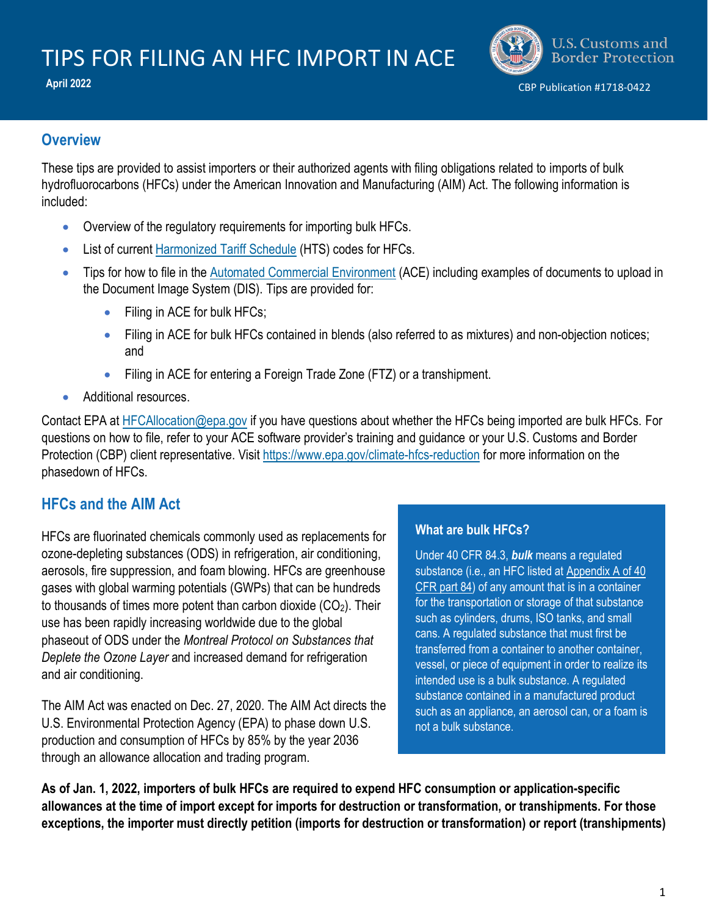



## **Overview**

These tips are provided to assist importers or their authorized agents with filing obligations related to imports of bulk hydrofluorocarbons (HFCs) under the American Innovation and Manufacturing (AIM) Act. The following information is included:

- Overview of the regulatory requirements for importing bulk HFCs.
- List of current [Harmonized Tariff Schedule](https://hts.usitc.gov/current) (HTS) codes for HFCs.
- Tips for how to file in th[e Automated Commercial Environment](https://www.cbp.gov/trade/automated) (ACE) including examples of documents to upload in the Document Image System (DIS). Tips are provided for:
	- Filing in ACE for bulk HFCs;
	- Filing in ACE for bulk HFCs contained in blends (also referred to as mixtures) and non-objection notices; and
	- Filing in ACE for entering a Foreign Trade Zone (FTZ) or a transhipment.
- Additional resources.

Contact EPA at [HFCAllocation@epa.gov](mailto:HFCAllocation@epa.gov) if you have questions about whether the HFCs being imported are bulk HFCs. For questions on how to file, refer to your ACE software provider's training and guidance or your U.S. Customs and Border Protection (CBP) client representative. Visit<https://www.epa.gov/climate-hfcs-reduction> for more information on the phasedown of HFCs.

## **HFCs and the AIM Act**

HFCs are fluorinated chemicals commonly used as replacements for ozone-depleting substances (ODS) in refrigeration, air conditioning, aerosols, fire suppression, and foam blowing. HFCs are greenhouse gases with global warming potentials (GWPs) that can be hundreds to thousands of times more potent than carbon dioxide  $(CO<sub>2</sub>)$ . Their use has been rapidly increasing worldwide due to the global phaseout of ODS under the *Montreal Protocol on Substances that Deplete the Ozone Layer* and increased demand for refrigeration and air conditioning.

The AIM Act was enacted on Dec. 27, 2020. The AIM Act directs the U.S. Environmental Protection Agency (EPA) to phase down U.S. production and consumption of HFCs by 85% by the year 2036 through an allowance allocation and trading program.

### **What are bulk HFCs?**

Under 40 CFR 84.3, *bulk* means a regulated substance (i.e., an HFC listed at Appendix A of 40 [CFR part 84\)](https://www.federalregister.gov/documents/2021/10/05/2021-21030/phasedown-of-hydrofluorocarbons-establishing-the-allowance-allocation-and-trading-program-under-the) of any amount that is in a container for the transportation or storage of that substance such as cylinders, drums, ISO tanks, and small cans. A regulated substance that must first be transferred from a container to another container, vessel, or piece of equipment in order to realize its intended use is a bulk substance. A regulated substance contained in a manufactured product such as an appliance, an aerosol can, or a foam is not a bulk substance.

**As of Jan. 1, 2022, importers of bulk HFCs are required to expend HFC consumption or application-specific allowances at the time of import except for imports for destruction or transformation, or transhipments. For those exceptions, the importer must directly petition (imports for destruction or transformation) or report (transhipments)**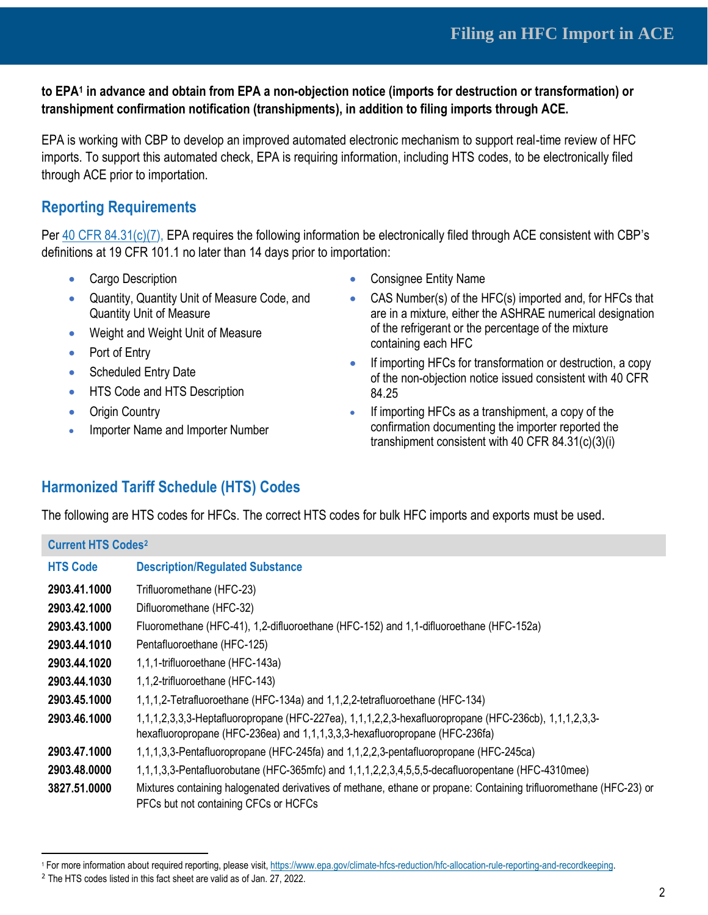### **to EPA<sup>1</sup> in advance and obtain from EPA a non-objection notice (imports for destruction or transformation) or transhipment confirmation notification (transhipments), in addition to filing imports through ACE.**

EPA is working with CBP to develop an improved automated electronic mechanism to support real-time review of HFC imports. To support this automated check, EPA is requiring information, including HTS codes, to be electronically filed through ACE prior to importation.

## **Reporting Requirements**

Per [40 CFR 84.31\(c\)\(7\)](https://www.federalregister.gov/documents/2021/10/05/2021-21030/phasedown-of-hydrofluorocarbons-establishing-the-allowance-allocation-and-trading-program-under-the), EPA requires the following information be electronically filed through ACE consistent with CBP's definitions at 19 CFR 101.1 no later than 14 days prior to importation:

- Cargo Description
- Quantity, Quantity Unit of Measure Code, and Quantity Unit of Measure
- Weight and Weight Unit of Measure
- Port of Entry
- Scheduled Entry Date
- HTS Code and HTS Description
- Origin Country
- Importer Name and Importer Number
- Consignee Entity Name
- CAS Number(s) of the HFC(s) imported and, for HFCs that are in a mixture, either the ASHRAE numerical designation of the refrigerant or the percentage of the mixture containing each HFC
- If importing HFCs for transformation or destruction, a copy of the non-objection notice issued consistent with 40 CFR 84.25
- If importing HFCs as a transhipment, a copy of the confirmation documenting the importer reported the transhipment consistent with 40 CFR 84.31(c)(3)(i)

# **Harmonized Tariff Schedule (HTS) Codes**

The following are HTS codes for HFCs. The correct HTS codes for bulk HFC imports and exports must be used.

| <b>Current HTS Codes<sup>2</sup></b> |                                                                                                                                                                                      |
|--------------------------------------|--------------------------------------------------------------------------------------------------------------------------------------------------------------------------------------|
| <b>HTS Code</b>                      | <b>Description/Regulated Substance</b>                                                                                                                                               |
| 2903.41.1000                         | Trifluoromethane (HFC-23)                                                                                                                                                            |
| 2903.42.1000                         | Difluoromethane (HFC-32)                                                                                                                                                             |
| 2903.43.1000                         | Fluoromethane (HFC-41), 1,2-difluoroethane (HFC-152) and 1,1-difluoroethane (HFC-152a)                                                                                               |
| 2903.44.1010                         | Pentafluoroethane (HFC-125)                                                                                                                                                          |
| 2903.44.1020                         | 1,1,1-trifluoroethane (HFC-143a)                                                                                                                                                     |
| 2903.44.1030                         | 1,1,2-trifluoroethane (HFC-143)                                                                                                                                                      |
| 2903.45.1000                         | 1,1,1,2-Tetrafluoroethane (HFC-134a) and 1,1,2,2-tetrafluoroethane (HFC-134)                                                                                                         |
| 2903.46.1000                         | 1,1,1,2,3,3,3-Heptafluoropropane (HFC-227ea), 1,1,1,2,2,3-hexafluoropropane (HFC-236cb), 1,1,1,2,3,3-<br>hexafluoropropane (HFC-236ea) and 1,1,1,3,3,3-hexafluoropropane (HFC-236fa) |
| 2903.47.1000                         | 1,1,1,3,3-Pentafluoropropane (HFC-245fa) and 1,1,2,2,3-pentafluoropropane (HFC-245ca)                                                                                                |
| 2903.48.0000                         | 1,1,1,3,3-Pentafluorobutane (HFC-365mfc) and 1,1,1,2,2,3,4,5,5-decafluoropentane (HFC-4310mee)                                                                                       |
| 3827.51.0000                         | Mixtures containing halogenated derivatives of methane, ethane or propane: Containing trifluoromethane (HFC-23) or<br>PFCs but not containing CFCs or HCFCs                          |

<sup>1</sup> For more information about required reporting, please visit, [https://www.epa.gov/climate-hfcs-reduction/hfc-allocation-rule-reporting-and-recordkeeping.](https://www.epa.gov/climate-hfcs-reduction/hfc-allocation-rule-reporting-and-recordkeeping)

<sup>2</sup> The HTS codes listed in this fact sheet are valid as of Jan. 27, 2022.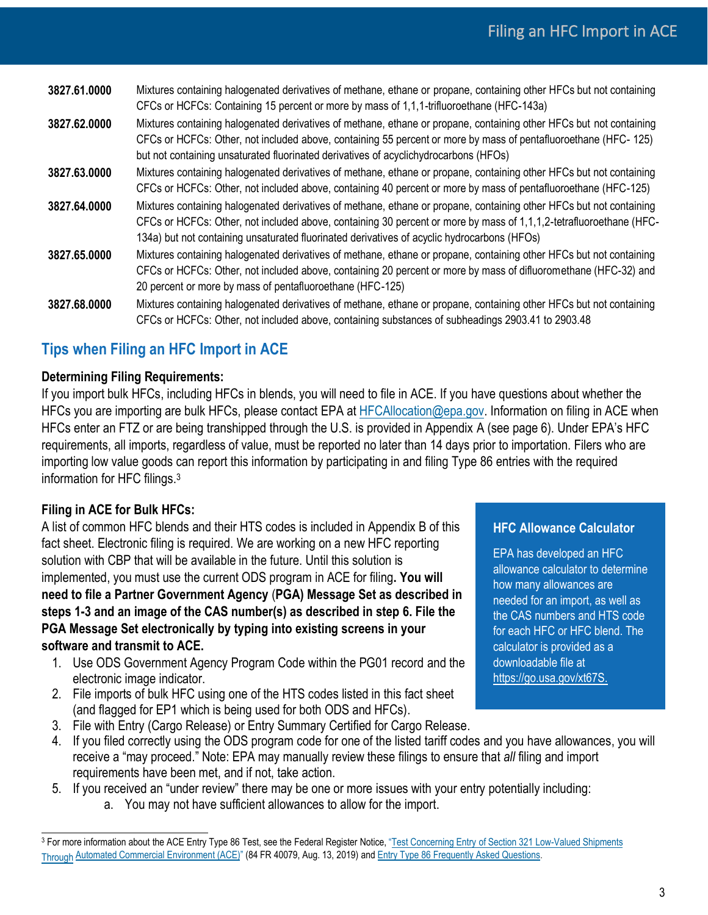| 3827.61.0000         | Mixtures containing halogenated derivatives of methane, ethane or propane, containing other HFCs but not containing |
|----------------------|---------------------------------------------------------------------------------------------------------------------|
|                      | CFCs or HCFCs: Containing 15 percent or more by mass of 1,1,1-trifluoroethane (HFC-143a)                            |
| <u>AAAM AA AAAA </u> | $\blacksquare$                                                                                                      |

**3827.62.0000** Mixtures containing halogenated derivatives of methane, ethane or propane, containing other HFCs but not containing CFCs or HCFCs: Other, not included above, containing 55 percent or more by mass of pentafluoroethane (HFC- 125) but not containing unsaturated fluorinated derivatives of acyclichydrocarbons (HFOs)

**3827.63.0000** Mixtures containing halogenated derivatives of methane, ethane or propane, containing other HFCs but not containing CFCs or HCFCs: Other, not included above, containing 40 percent or more by mass of pentafluoroethane (HFC-125)

- **3827.64.0000** Mixtures containing halogenated derivatives of methane, ethane or propane, containing other HFCs but not containing CFCs or HCFCs: Other, not included above, containing 30 percent or more by mass of 1,1,1,2-tetrafluoroethane (HFC-134a) but not containing unsaturated fluorinated derivatives of acyclic hydrocarbons (HFOs)
- **3827.65.0000** Mixtures containing halogenated derivatives of methane, ethane or propane, containing other HFCs but not containing CFCs or HCFCs: Other, not included above, containing 20 percent or more by mass of difluoromethane (HFC-32) and 20 percent or more by mass of pentafluoroethane (HFC-125)
- **3827.68.0000** Mixtures containing halogenated derivatives of methane, ethane or propane, containing other HFCs but not containing CFCs or HCFCs: Other, not included above, containing substances of subheadings 2903.41 to 2903.48

# **Tips when Filing an HFC Import in ACE**

### **Determining Filing Requirements:**

If you import bulk HFCs, including HFCs in blends, you will need to file in ACE. If you have questions about whether the HFCs you are importing are bulk HFCs, please contact EPA at [HFCAllocation@epa.gov.](mailto:HFCAllocation@epa.gov) Information on filing in ACE when HFCs enter an FTZ or are being transhipped through the U.S. is provided in Appendix A (see page 6). Under EPA's HFC requirements, all imports, regardless of value, must be reported no later than 14 days prior to importation. Filers who are importing low value goods can report this information by participating in and filing Type 86 entries with the required information for HFC filings.<sup>3</sup>

### **Filing in ACE for Bulk HFCs:**

A list of common HFC blends and their HTS codes is included in Appendix B of this fact sheet. Electronic filing is required. We are working on a new HFC reporting solution with CBP that will be available in the future. Until this solution is implemented, you must use the current ODS program in ACE for filing**. You will need to file a Partner Government Agency** (**PGA) Message Set as described in steps 1-3 and an image of the CAS number(s) as described in step 6. File the PGA Message Set electronically by typing into existing screens in your software and transmit to ACE.**

- 1. Use ODS Government Agency Program Code within the PG01 record and the electronic image indicator.
- 2. File imports of bulk HFC using one of the HTS codes listed in this fact sheet (and flagged for EP1 which is being used for both ODS and HFCs).
- 3. File with Entry (Cargo Release) or Entry Summary Certified for Cargo Release.

### 4. If you filed correctly using the ODS program code for one of the listed tariff codes and you have allowances, you will receive a "may proceed." Note: EPA may manually review these filings to ensure that *all* filing and import requirements have been met, and if not, take action.

- 5. If you received an "under review" there may be one or more issues with your entry potentially including:
	- a. You may not have sufficient allowances to allow for the import.

## **HFC Allowance Calculator**

EPA has developed an HFC allowance calculator to determine how many allowances are needed for an import, as well as the CAS numbers and HTS code for each HFC or HFC blend. The calculator is provided as a downloadable file at [https://go.usa.gov/xt67S.](https://go.usa.gov/xt67S)

<sup>&</sup>lt;sup>3</sup> For more information about the ACE Entry Type 86 Test, see the Federal Register Notice, "Test Concerning Entry of Section 321 Low-Valued Shipments Through [Automated Commercial Environmen](https://www.federalregister.gov/documents/2019/08/13/2019-17243/test-concerning-entry-of-section-321-low-valued-shipments-through-automated-commercial-environment)t (ACE)" (84 FR 40079, Aug. 13, 20[19\) and Entry Type 86 Frequently Asked Que](https://www.cbp.gov/trade/trade-enforcement/tftea/section-321-programs/entry-type-86-frequently-asked-questions)stions.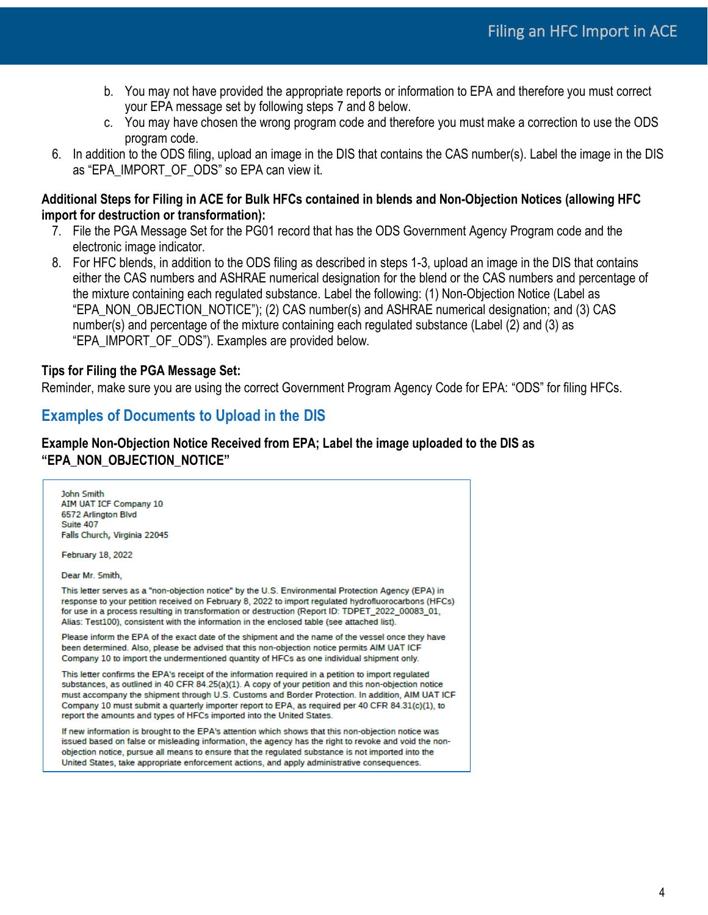- b. You may not have provided the appropriate reports or information to EPA and therefore you must correct your EPA message set by following steps 7 and 8 below.
- c. You may have chosen the wrong program code and therefore you must make a correction to use the ODS program code.
- 6. In addition to the ODS filing, upload an image in the DIS that contains the CAS number(s). Label the image in the DIS as "EPA\_IMPORT\_OF\_ODS" so EPA can view it.

#### **Additional Steps for Filing in ACE for Bulk HFCs contained in blends and Non-Objection Notices (allowing HFC import for destruction or transformation):**

- 7. File the PGA Message Set for the PG01 record that has the ODS Government Agency Program code and the electronic image indicator.
- 8. For HFC blends, in addition to the ODS filing as described in steps 1-3, upload an image in the DIS that contains either the CAS numbers and ASHRAE numerical designation for the blend or the CAS numbers and percentage of the mixture containing each regulated substance. Label the following: (1) Non-Objection Notice (Label as "EPA\_NON\_OBJECTION\_NOTICE"); (2) CAS number(s) and ASHRAE numerical designation; and (3) CAS number(s) and percentage of the mixture containing each regulated substance (Label (2) and (3) as "EPA\_IMPORT\_OF\_ODS"). Examples are provided below.

### **Tips for Filing the PGA Message Set:**

Reminder, make sure you are using the correct Government Program Agency Code for EPA: "ODS" for filing HFCs.

## **Examples of Documents to Upload in the DIS**

### **Example Non-Objection Notice Received from EPA; Label the image uploaded to the DIS as "EPA\_NON\_OBJECTION\_NOTICE"**

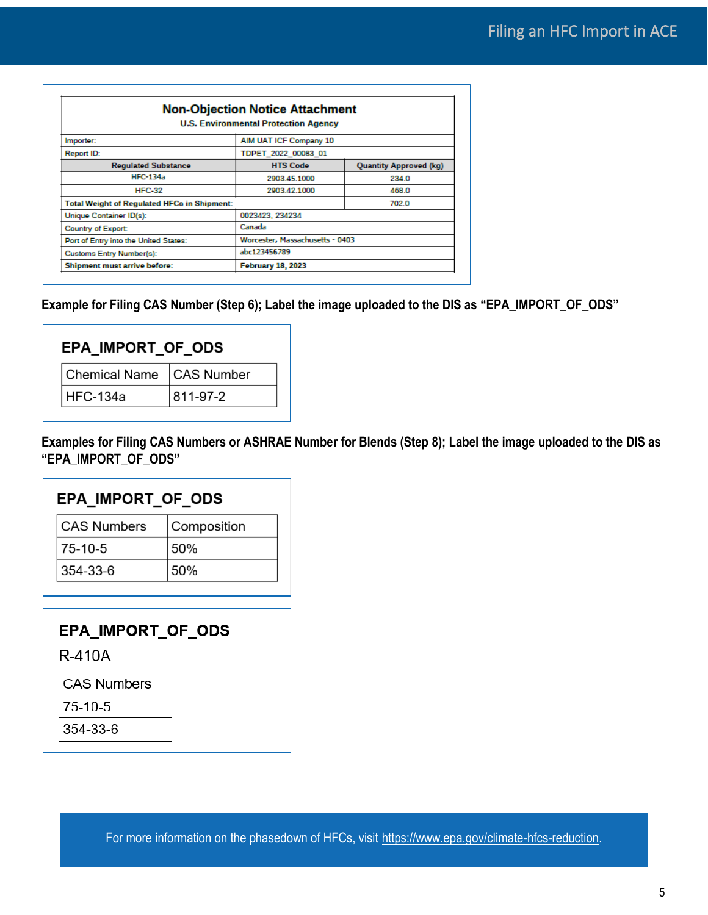| <b>Non-Objection Notice Attachment</b><br><b>U.S. Environmental Protection Agency</b> |                          |                                 |  |  |
|---------------------------------------------------------------------------------------|--------------------------|---------------------------------|--|--|
| Importer:                                                                             | AIM UAT ICF Company 10   |                                 |  |  |
| Report ID:                                                                            | TDPET 2022 00083 01      |                                 |  |  |
| <b>Regulated Substance</b>                                                            | <b>HTS Code</b>          | <b>Quantity Approved (kg)</b>   |  |  |
| <b>HFC-134a</b>                                                                       | 2903.45.1000             | 234.0                           |  |  |
| <b>HFC-32</b>                                                                         | 2903.42.1000             | 468.0                           |  |  |
| <b>Total Weight of Regulated HFCs in Shipment:</b>                                    |                          | 702.0                           |  |  |
| Unique Container ID(s):                                                               | 0023423, 234234          |                                 |  |  |
| <b>Country of Export:</b>                                                             | Canada                   |                                 |  |  |
| Port of Entry into the United States:                                                 |                          | Worcester, Massachusetts - 0403 |  |  |
| <b>Customs Entry Number(s):</b>                                                       | abc123456789             |                                 |  |  |
| <b>Shipment must arrive before:</b>                                                   | <b>February 18, 2023</b> |                                 |  |  |

**Example for Filing CAS Number (Step 6); Label the image uploaded to the DIS as "EPA\_IMPORT\_OF\_ODS"**

| <b>EPA IMPORT OF ODS</b> |  |  |
|--------------------------|--|--|
| Chemical Name CAS Number |  |  |
| 811-97-2                 |  |  |
|                          |  |  |

**Examples for Filing CAS Numbers or ASHRAE Number for Blends (Step 8); Label the image uploaded to the DIS as "EPA\_IMPORT\_OF\_ODS"**

| <b>EPA IMPORT OF ODS</b> |             |  |  |
|--------------------------|-------------|--|--|
| <b>CAS Numbers</b>       | Composition |  |  |
| 75-10-5                  | 50%         |  |  |
| 354-33-6                 | 50%         |  |  |

## EPA\_IMPORT\_OF\_ODS

**R-410A** 

354-33-6

For more information on the phasedown of HFCs, visit<https://www.epa.gov/climate-hfcs-reduction>.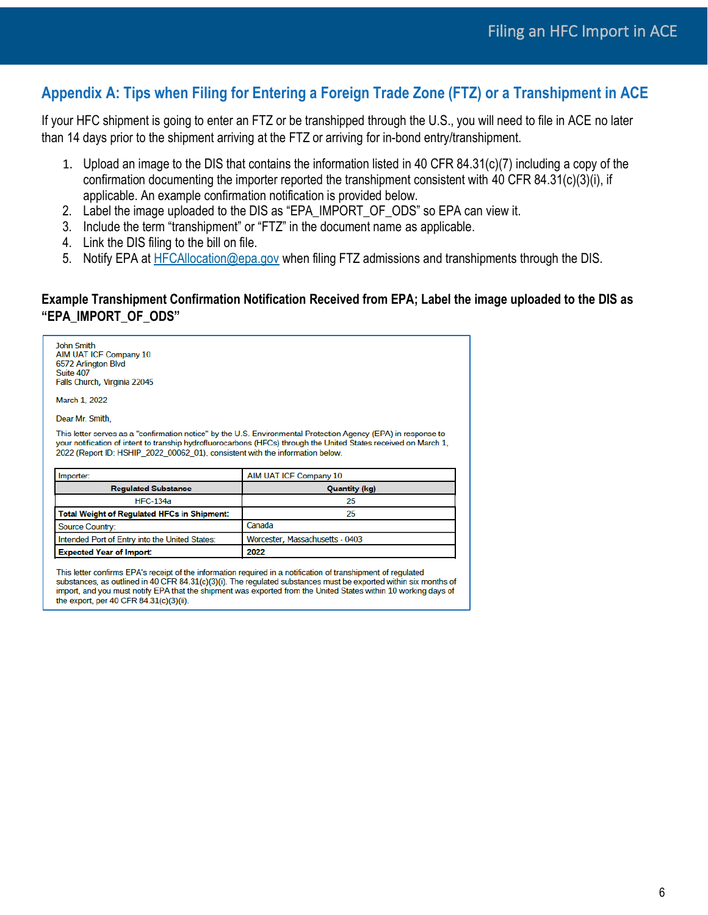## **Appendix A: Tips when Filing for Entering a Foreign Trade Zone (FTZ) or a Transhipment in ACE**

If your HFC shipment is going to enter an FTZ or be transhipped through the U.S., you will need to file in ACE no later than 14 days prior to the shipment arriving at the FTZ or arriving for in-bond entry/transhipment.

- 1. Upload an image to the DIS that contains the information listed in 40 CFR 84.31(c)(7) including a copy of the confirmation documenting the importer reported the transhipment consistent with 40 CFR 84.31(c)(3)(i), if applicable. An example confirmation notification is provided below.
- 2. Label the image uploaded to the DIS as "EPA\_IMPORT\_OF\_ODS" so EPA can view it.
- 3. Include the term "transhipment" or "FTZ" in the document name as applicable.
- 4. Link the DIS filing to the bill on file.
- 5. Notify EPA at [HFCAllocation@epa.gov](mailto:HFCAllocation@epa.gov) when filing FTZ admissions and transhipments through the DIS.

#### **Example Transhipment Confirmation Notification Received from EPA; Label the image uploaded to the DIS as "EPA\_IMPORT\_OF\_ODS"**

| 2022 (Report ID: HSHIP 2022 00062 01), consistent with the information below.<br>Importer:<br><b>Regulated Substance</b><br><b>HFC-134a</b> | your notification of intent to tranship hydrofluorocarbons (HFCs) through the United States received on March 1,<br>AIM UAT ICF Company 10<br>Quantity (kg)<br>25 |
|---------------------------------------------------------------------------------------------------------------------------------------------|-------------------------------------------------------------------------------------------------------------------------------------------------------------------|
|                                                                                                                                             |                                                                                                                                                                   |
|                                                                                                                                             |                                                                                                                                                                   |
|                                                                                                                                             |                                                                                                                                                                   |
|                                                                                                                                             | This letter serves as a "confirmation notice" by the U.S. Environmental Protection Agency (EPA) in response to                                                    |
| Dear Mr. Smith.                                                                                                                             |                                                                                                                                                                   |
| March 1, 2022                                                                                                                               |                                                                                                                                                                   |
| John Smith<br>AIM UAT ICF Company 10<br>6572 Arlington Blvd<br>Suite 407<br>Falls Church, Virginia 22045                                    |                                                                                                                                                                   |

This letter confirms EPA's receipt of the information required in a notification of transhipment of regulated substances, as outlined in 40 CFR 84.31(c)(3)(i). The regulated substances must be exported within six months of import, and you must notify EPA that the shipment was exported from the United States within 10 working days of the export, per 40 CFR 84.31(c)(3)(ii).